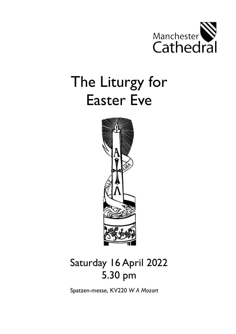

# The Liturgy for Easter Eve



# Saturday 16 April 2022 5.30 pm

Spatzen-messe, KV220 *W A Mozart*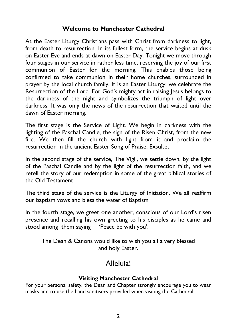#### **Welcome to Manchester Cathedral**

At the Easter Liturgy Christians pass with Christ from darkness to light, from death to resurrection. In its fullest form, the service begins at dusk on Easter Eve and ends at dawn on Easter Day. Tonight we move through four stages in our service in rather less time, reserving the joy of our first communion of Easter for the morning. This enables those being confirmed to take communion in their home churches, surrounded in prayer by the local church family. It is an Easter Liturgy: we celebrate the Resurrection of the Lord. For God's mighty act in raising Jesus belongs to the darkness of the night and symbolizes the triumph of light over darkness. It was only the news of the resurrection that waited until the dawn of Easter morning.

The first stage is the Service of Light. We begin in darkness with the lighting of the Paschal Candle, the sign of the Risen Christ, from the new fire. We then fill the church with light from it and proclaim the resurrection in the ancient Easter Song of Praise, Exsultet.

In the second stage of the service, The Vigil, we settle down, by the light of the Paschal Candle and by the light of the resurrection faith, and we retell the story of our redemption in some of the great biblical stories of the Old Testament.

The third stage of the service is the Liturgy of Initiation. We all reaffirm our baptism vows and bless the water of Baptism

In the fourth stage, we greet one another, conscious of our Lord's risen presence and recalling his own greeting to his disciples as he came and stood among them saying – 'Peace be with you'.

The Dean & Canons would like to wish you all a very blessed and holy Easter.

# Alleluia!

#### **Visiting Manchester Cathedral**

For your personal safety, the Dean and Chapter strongly encourage you to wear masks and to use the hand sanitisers provided when visiting the Cathedral.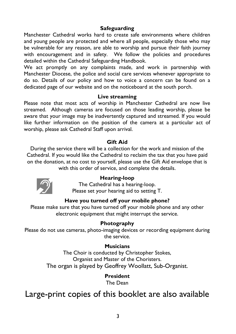#### **Safeguarding**

Manchester Cathedral works hard to create safe environments where children and young people are protected and where all people, especially those who may be vulnerable for any reason, are able to worship and pursue their faith journey with encouragement and in safety. We follow the policies and procedures detailed within the Cathedral Safeguarding Handbook.

We act promptly on any complaints made, and work in partnership with Manchester Diocese, the police and social care services whenever appropriate to do so. Details of our policy and how to voice a concern can be found on a dedicated page of our website and on the noticeboard at the south porch.

#### **Live streaming**

Please note that most acts of worship in Manchester Cathedral are now live streamed. Although cameras are focused on those leading worship, please be aware that your image may be inadvertently captured and streamed. If you would like further information on the position of the camera at a particular act of worship, please ask Cathedral Staff upon arrival.

#### **Gift Aid**

During the service there will be a collection for the work and mission of the Cathedral. If you would like the Cathedral to reclaim the tax that you have paid on the donation, at no cost to yourself, please use the Gift Aid envelope that is with this order of service, and complete the details.



#### **Hearing-loop**

The Cathedral has a hearing-loop. Please set your hearing aid to setting T.

#### **Have you turned off your mobile phone?**

Please make sure that you have turned off your mobile phone and any other electronic equipment that might interrupt the service.

#### **Photography**

Please do not use cameras, photo-imaging devices or recording equipment during the service.

#### **Musicians**

The Choir is conducted by Christopher Stokes, Organist and Master of the Choristers. The organ is played by Geoffrey Woollatt, Sub-Organist.

#### **President**

The Dean

# Large-print copies of this booklet are also available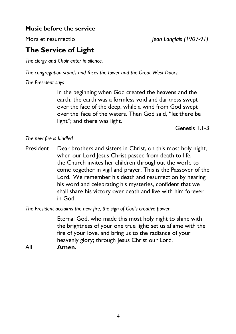#### **Music before the service**

Mors et resurrectio *Jean Langlais (1907-91)*

# **The Service of Light**

*The clergy and Choir enter in silence.* 

*The congregation stands and faces the tower and the Great West Doors.*

*The President says*

In the beginning when God created the heavens and the earth, the earth was a formless void and darkness swept over the face of the deep, while a wind from God swept over the face of the waters. Then God said, "let there be light"; and there was light.

Genesis 1.1-3

#### *The new fire is kindled*

President Dear brothers and sisters in Christ, on this most holy night, when our Lord Jesus Christ passed from death to life, the Church invites her children throughout the world to come together in vigil and prayer. This is the Passover of the Lord. We remember his death and resurrection by hearing his word and celebrating his mysteries, confident that we shall share his victory over death and live with him forever in God.

*The President acclaims the new fire, the sign of God's creative power.*

Eternal God, who made this most holy night to shine with the brightness of your one true light: set us aflame with the fire of your love, and bring us to the radiance of your heavenly glory; through Jesus Christ our Lord.

All **Amen.**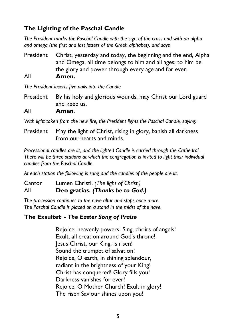### **The Lighting of the Paschal Candle**

*The President marks the Paschal Candle with the sign of the cross and with an alpha and omega (the first and last letters of the Greek alphabet), and says*

President Christ, yesterday and today, the beginning and the end, Alpha and Omega, all time belongs to him and all ages; to him be the glory and power through every age and for ever. All **Amen.**

*The President inserts five nails into the Candle*

- President By his holy and glorious wounds, may Christ our Lord guard and keep us.
- All **Amen**.

*With light taken from the new fire, the President lights the Paschal Candle, saying:*

President May the light of Christ, rising in glory, banish all darkness from our hearts and minds.

*Processional candles are lit, and the lighted Candle is carried through the Cathedral. There will be three stations at which the congregation is invited to light their individual candles from the Paschal Candle.*

*At each station the following is sung and the candles of the people are lit.* 

Cantor Lumen Christi. *(The light of Christ.)* All **Deo gratias.** *(Thanks be to God.)*

*The procession continues to the nave altar and stops once more. The Paschal Candle is placed on a stand in the midst of the nave.*

#### **The Exsultet -** *The Easter Song of Praise*

Rejoice, heavenly powers! Sing, choirs of angels! Exult, all creation around God's throne! Jesus Christ, our King, is risen! Sound the trumpet of salvation! Rejoice, O earth, in shining splendour, radiant in the brightness of your King! Christ has conquered! Glory fills you! Darkness vanishes for ever! Rejoice, O Mother Church! Exult in glory! The risen Saviour shines upon you!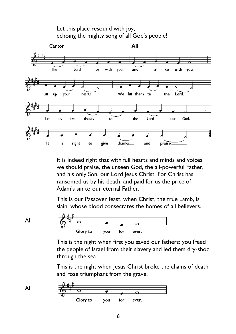

It is indeed right that with full hearts and minds and voices we should praise, the unseen God, the all-powerful Father, and his only Son, our Lord Jesus Christ. For Christ has ransomed us by his death, and paid for us the price of Adam's sin to our eternal Father.

This is our Passover feast, when Christ, the true Lamb, is slain, whose blood consecrates the homes of all believers.

All

$$
\begin{array}{c|c}\n\hline\n\frac{1}{2} & \frac{1}{2} \\
\hline\n\end{array}
$$
\nGlory to you for ever.

This is the night when first you saved our fathers: you freed the people of Israel from their slavery and led them dry-shod through the sea.

This is the night when Jesus Christ broke the chains of death and rose triumphant from the grave.

All 
$$
\begin{array}{c|c}\n\begin{array}{c}\n\end{array}\n\end{array}
$$
\nGlory to you for ever.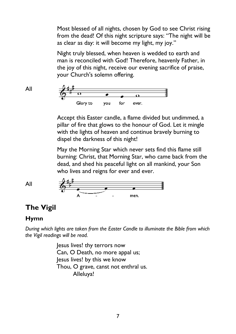Most blessed of all nights, chosen by God to see Christ rising from the dead! Of this night scripture says: "The night will be as clear as day: it will become my light, my joy."

Night truly blessed, when heaven is wedded to earth and man is reconciled with God! Therefore, heavenly Father, in the joy of this night, receive our evening sacrifice of praise, your Church's solemn offering.



Accept this Easter candle, a flame divided but undimmed, a pillar of fire that glows to the honour of God. Let it mingle with the lights of heaven and continue bravely burning to dispel the darkness of this night!

May the Morning Star which never sets find this flame still burning: Christ, that Morning Star, who came back from the dead, and shed his peaceful light on all mankind, your Son who lives and reigns for ever and ever.



# **The Vigil**

#### **Hymn**

All

*During which lights are taken from the Easter Candle to illuminate the Bible from which the Vigil readings will be read.*

> Jesus lives! thy terrors now Can, O Death, no more appal us; Jesus lives! by this we know Thou, O grave, canst not enthral us. Alleluya!

All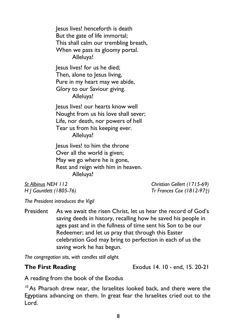Jesus lives! henceforth is death But the gate of life immortal; This shall calm our trembling breath, When we pass its gloomy portal. Alleluya! Jesus lives! for us he died; Then, alone to lesus living, Pure in my heart may we abide, Glory to our Saviour giving. Alleluya! Jesus lives! our hearts know well Nought from us his love shall sever; Life, nor death, nor powers of hell Tear us from his keeping ever.

Alleluya!

Jesus lives! to him the throne Over all the world is given; May we go where he is gone, Rest and reign with him in heaven. Alleluya!

*St Albinus NEH 112 Christian Gellert (1715-69) H J Gauntlett (1805-76) Tr Frances Cox (1812-97†)*

*The President introduces the Vigil* 

President As we await the risen Christ, let us hear the record of God's saving deeds in history, recalling how he saved his people in ages past and in the fullness of time sent his Son to be our Redeemer; and let us pray that through this Easter celebration God may bring to perfection in each of us the saving work he has begun.

*The congregation sits, with candles still alight.*

**The First Reading Exodus 14. 10 - end, 15. 20-21** 

A reading from the book of the Exodus

<sup>10</sup> As Pharaoh drew near, the Israelites looked back, and there were the Egyptians advancing on them. In great fear the Israelites cried out to the Lord.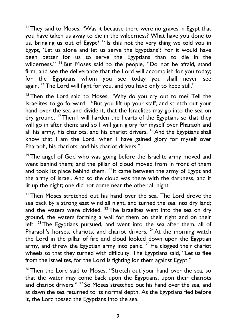$11$  They said to Moses, "Was it because there were no graves in Egypt that you have taken us away to die in the wilderness? What have you done to us, bringing us out of Egypt? <sup>12</sup> Is this not the very thing we told you in Egypt, 'Let us alone and let us serve the Egyptians'? For it would have been better for us to serve the Egyptians than to die in the wilderness." <sup>13</sup> But Moses said to the people, "Do not be afraid, stand firm, and see the deliverance that the Lord will accomplish for you today; for the Egyptians whom you see today you shall never see again. <sup>14</sup> The Lord will fight for you, and you have only to keep still."

<sup>15</sup> Then the Lord said to Moses, "Why do you cry out to me? Tell the Israelites to go forward. <sup>16</sup> But you lift up your staff, and stretch out your hand over the sea and divide it, that the Israelites may go into the sea on dry ground. <sup>17</sup> Then I will harden the hearts of the Egyptians so that they will go in after them; and so I will gain glory for myself over Pharaoh and all his army, his chariots, and his chariot drivers.  $18$  And the Egyptians shall know that I am the Lord, when I have gained glory for myself over Pharaoh, his chariots, and his chariot drivers."

<sup>19</sup> The angel of God who was going before the Israelite army moved and went behind them; and the pillar of cloud moved from in front of them and took its place behind them.  $^{20}$  It came between the army of Egypt and the army of Israel. And so the cloud was there with the darkness, and it lit up the night; one did not come near the other all night.

<sup>21</sup> Then Moses stretched out his hand over the sea. The Lord drove the sea back by a strong east wind all night, and turned the sea into dry land; and the waters were divided.  $^{22}$  The Israelites went into the sea on dry ground, the waters forming a wall for them on their right and on their left.  $^{23}$  The Egyptians pursued, and went into the sea after them, all of Pharaoh's horses, chariots, and chariot drivers.  $24$  At the morning watch the Lord in the pillar of fire and cloud looked down upon the Egyptian army, and threw the Egyptian army into panic.  $25$  He clogged their chariot wheels so that they turned with difficulty. The Egyptians said, "Let us flee from the Israelites, for the Lord is fighting for them against Egypt."

 $26$  Then the Lord said to Moses, "Stretch out your hand over the sea, so that the water may come back upon the Egyptians, upon their chariots and chariot drivers." <sup>27</sup> So Moses stretched out his hand over the sea, and at dawn the sea returned to its normal depth. As the Egyptians fled before it, the Lord tossed the Egyptians into the sea.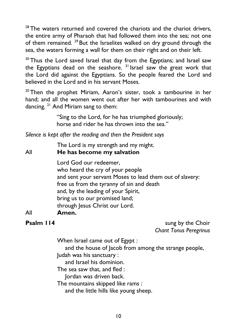$28$  The waters returned and covered the chariots and the chariot drivers, the entire army of Pharaoh that had followed them into the sea; not one of them remained. <sup>29</sup> But the Israelites walked on dry ground through the sea, the waters forming a wall for them on their right and on their left.

<sup>30</sup> Thus the Lord saved Israel that day from the Egyptians; and Israel saw the Egyptians dead on the seashore.  $3<sup>1</sup>$  Israel saw the great work that the Lord did against the Egyptians. So the people feared the Lord and believed in the Lord and in his servant Moses.

 $20$  Then the prophet Miriam, Aaron's sister, took a tambourine in her hand; and all the women went out after her with tambourines and with dancing. <sup>21</sup> And Miriam sang to them:

> "Sing to the Lord, for he has triumphed gloriously; horse and rider he has thrown into the sea."

*Silence is kept after the reading and then the President says* 

The Lord is my strength and my might.

All **He has become my salvation**

Lord God our redeemer, who heard the cry of your people and sent your servant Moses to lead them out of slavery: free us from the tyranny of sin and death and, by the leading of your Spirit, bring us to our promised land; through Jesus Christ our Lord.

#### All **Amen.**

**Psalm 114** sung by the Choir *Chant Tonus Peregrinus*

When Israel came out of Egypt :

and the house of Jacob from among the strange people, Judah was his sanctuary :

and Israel his dominion.

The sea saw that, and fled :

Jordan was driven back.

The mountains skipped like rams :

and the little hills like young sheep.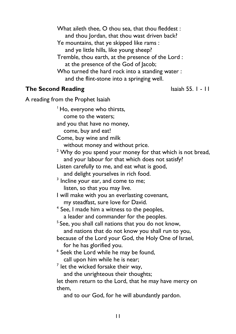What aileth thee, O thou sea, that thou fleddest : and thou Jordan, that thou wast driven back? Ye mountains, that ye skipped like rams : and ye little hills, like young sheep? Tremble, thou earth, at the presence of the Lord : at the presence of the God of Jacob; Who turned the hard rock into a standing water : and the flint-stone into a springing well.

#### **The Second Reading** Isaiah 55. I - II

A reading from the Prophet Isaiah

<sup>1</sup> Ho, everyone who thirsts, come to the waters; and you that have no money, come, buy and eat! Come, buy wine and milk without money and without price.  $2$  Why do you spend your money for that which is not bread, and your labour for that which does not satisfy? Listen carefully to me, and eat what is good, and delight yourselves in rich food.  $3$  Incline your ear, and come to me; listen, so that you may live. I will make with you an everlasting covenant, my steadfast, sure love for David. <sup>4</sup> See, I made him a witness to the peoples, a leader and commander for the peoples. <sup>5</sup> See, you shall call nations that you do not know, and nations that do not know you shall run to you, because of the Lord your God, the Holy One of Israel, for he has glorified you. <sup>6</sup> Seek the Lord while he may be found, call upon him while he is near;  $^7$  let the wicked forsake their way, and the unrighteous their thoughts; let them return to the Lord, that he may have mercy on them, and to our God, for he will abundantly pardon.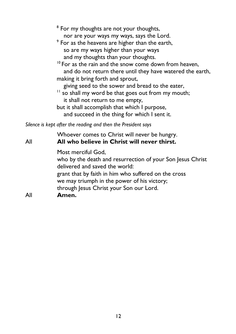- $^{\rm 8}$  For my thoughts are not your thoughts, nor are your ways my ways, says the Lord.
- $^{\circ}$  For as the heavens are higher than the earth, so are my ways higher than your ways and my thoughts than your thoughts.
- <sup>10</sup> For as the rain and the snow come down from heaven, and do not return there until they have watered the earth, making it bring forth and sprout,
	- giving seed to the sower and bread to the eater,
- <sup>11</sup> so shall my word be that goes out from my mouth; it shall not return to me empty, but it shall accomplish that which I purpose,
	- and succeed in the thing for which I sent it.

*Silence is kept after the reading and then the President says* 

| Most merciful God,<br>delivered and saved the world:<br>grant that by faith in him who suffered on the cross<br>we may triumph in the power of his victory;<br>through Jesus Christ your Son our Lord.<br>All<br>Amen. | All | Whoever comes to Christ will never be hungry.<br>All who believe in Christ will never thirst. |
|------------------------------------------------------------------------------------------------------------------------------------------------------------------------------------------------------------------------|-----|-----------------------------------------------------------------------------------------------|
|                                                                                                                                                                                                                        |     | who by the death and resurrection of your Son Jesus Christ                                    |
|                                                                                                                                                                                                                        |     |                                                                                               |
|                                                                                                                                                                                                                        |     |                                                                                               |
|                                                                                                                                                                                                                        |     |                                                                                               |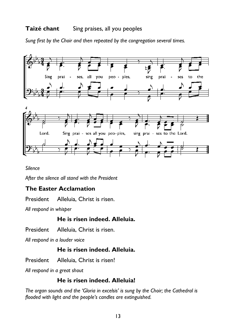#### **Taizé chant** Sing praises, all you peoples

*Sung first by the Choir and then repeated by the congregation several times.* 



*Silence*

*After the silence all stand with the President*

#### **The Easter Acclamation**

President Alleluia, Christ is risen.

*All respond in whisper*

#### **He is risen indeed. Alleluia.**

President Alleluia, Christ is risen.

*All respond in a louder voice*

#### **He is risen indeed. Alleluia.**

President Alleluia, Christ is risen!

*All respond in a great shout*

#### **He is risen indeed. Alleluia!**

*The organ sounds and the 'Gloria in excelsis' is sung by the Choir; the Cathedral is flooded with light and the people's candles are extinguished.*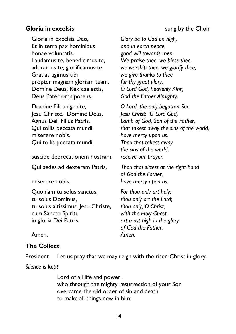#### **Gloria in excelsis** sung by the Choir

Gloria in excelsis Deo, *Glory be to God on high,*  Et in terra pax hominibus *and in earth peace,* bonae voluntatis. *good will towards men.*  Laudamus te, benedicimus te, *We praise thee, we bless thee,*  adoramus te, glorificamus te, *we worship thee, we glorify thee,*  Gratias agimus tibi *we give thanks to thee*  propter magnam gloriam tuam. *for thy great glory,*  Domine Deus, Rex caelestis, *O Lord God, heavenly King,*  Deus Pater omnipotens. *God the Father Almighty.*

Domine Fili unigenite, *O Lord, the only-begotten Son*  Jesu Christe. Domine Deus, *Jesu Christ; O Lord God,*  miserere nobis. *have mercy upon us.*  Qui tollis peccata mundi, *Thou that takest away* 

suscipe deprecationem nostram. *receive our prayer.* 

Quoniam tu solus sanctus, *For thou only art holy;*  tu solus Dominus, *thou only art the Lord;*  tu solus altissimus, Jesu Christe, *thou only, O Christ,*  cum Sancto Spiritu *with the Holy Ghost,*  in gloria Dei Patris. *art most high in the glory* 

Agnus Dei, Filius Patris. *Lamb of God, Son of the Father,*  Qui tollis peccata mundi, *that takest away the sins of the world, the sins of the world,* 

Qui sedes ad dexteram Patris, *Thou that sittest at the right hand of God the Father,*  miserere nobis. *have mercy upon us.*

*of God the Father.*

Amen. *Amen.*

#### **The Collect**

President Let us pray that we may reign with the risen Christ in glory.

*Silence is kept*

Lord of all life and power, who through the mighty resurrection of your Son overcame the old order of sin and death to make all things new in him: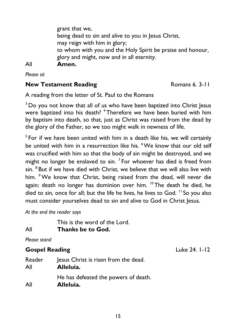grant that we, being dead to sin and alive to you in Jesus Christ, may reign with him in glory; to whom with you and the Holy Spirit be praise and honour, glory and might, now and in all eternity. All **Amen.** 

*Please sit* 

#### **New Testament Reading**  Romans 6. 3-11

A reading from the letter of St. Paul to the Romans

<sup>3</sup> Do you not know that all of us who have been baptized into Christ Jesus were baptized into his death? <sup>4</sup> Therefore we have been buried with him by baptism into death, so that, just as Christ was raised from the dead by the glory of the Father, so we too might walk in newness of life.

<sup>5</sup> For if we have been united with him in a death like his, we will certainly be united with him in a resurrection like his. <sup>6</sup>We know that our old self was crucified with him so that the body of sin might be destroyed, and we might no longer be enslaved to sin.  $7$  For whoever has died is freed from sin. <sup>8</sup> But if we have died with Christ, we believe that we will also live with him. <sup>9</sup> We know that Christ, being raised from the dead, will never die again; death no longer has dominion over him.  $10$  The death he died, he died to sin, once for all; but the life he lives, he lives to God. <sup>11</sup> So you also must consider yourselves dead to sin and alive to God in Christ Jesus.

*At the end the reader says*

This is the word of the Lord. All **Thanks be to God.**

*Please stand*

# **Gospel Reading** Luke 24. 1-12

| Reader | Jesus Christ is risen from the dead.              |
|--------|---------------------------------------------------|
| All    | Alleluia.                                         |
| All    | He has defeated the powers of death.<br>Alleluia. |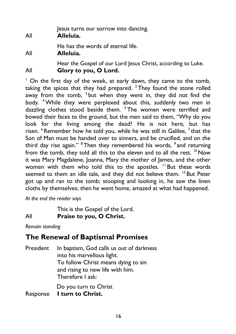| All | lesus turns our sorrow into dancing.<br>Alleluia.                                     |
|-----|---------------------------------------------------------------------------------------|
| All | He has the words of eternal life.<br>Alleluia.                                        |
| All | Hear the Gospel of our Lord Jesus Christ, according to Luke.<br>Glory to you, O Lord. |

<sup>1</sup> On the first day of the week, at early dawn, they came to the tomb, taking the spices that they had prepared.  $2$  They found the stone rolled away from the tomb, <sup>3</sup> but when they went in, they did not find the body. <sup>4</sup>While they were perplexed about this, suddenly two men in dazzling clothes stood beside them. <sup>5</sup> The women were terrified and bowed their faces to the ground, but the men said to them, "Why do you look for the living among the dead? He is not here, but has risen. <sup>6</sup> Remember how he told you, while he was still in Galilee, <sup>7</sup> that the Son of Man must be handed over to sinners, and be crucified, and on the third day rise again." <sup>8</sup> Then they remembered his words, <sup>9</sup> and returning from the tomb, they told all this to the eleven and to all the rest.  $10$  Now it was Mary Magdalene, Joanna, Mary the mother of James, and the other women with them who told this to the apostles. <sup>11</sup> But these words seemed to them an idle tale, and they did not believe them. <sup>12</sup> But Peter got up and ran to the tomb; stooping and looking in, he saw the linen cloths by themselves; then he went home, amazed at what had happened.

*At the end the reader says*

This is the Gospel of the Lord.

#### All **Praise to you, O Christ.**

*Remain standing*

# **The Renewal of Baptismal Promises**

President In baptism, God calls us out of darkness into his marvellous light. To follow Christ means dying to sin and rising to new life with him. Therefore I ask: Do you turn to Christ

Response **I turn to Christ.**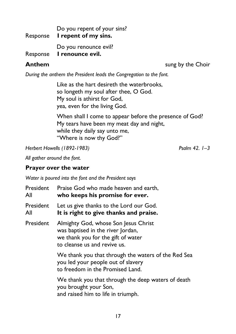Do you repent of your sins? Response **I repent of my sins.** Do you renounce evil? Response **I renounce evil.**

**Anthem** sung by the Choir

*During the anthem the President leads the Congregation to the font.* 

Like as the hart desireth the waterbrooks, so longeth my soul after thee, O God. My soul is athirst for God, yea, even for the living God.

When shall I come to appear before the presence of God? My tears have been my meat day and night, while they daily say unto me, "Where is now thy God?"

*Herbert Howells (1892-1983) Psalm 42. 1–3*

*All gather around the font.* 

#### **Prayer over the water**

*Water is poured into the font and the President says*

| President<br>All | Praise God who made heaven and earth,<br>who keeps his promise for ever.                                                                        |
|------------------|-------------------------------------------------------------------------------------------------------------------------------------------------|
| President<br>All | Let us give thanks to the Lord our God.<br>It is right to give thanks and praise.                                                               |
| President        | Almighty God, whose Son Jesus Christ<br>was baptised in the river Jordan,<br>we thank you for the gift of water<br>to cleanse us and revive us. |
|                  | We thank you that through the waters of the Red Sea<br>you led your people out of slavery<br>to freedom in the Promised Land.                   |
|                  | We thank you that through the deep waters of death<br>you brought your Son,<br>and raised him to life in triumph.                               |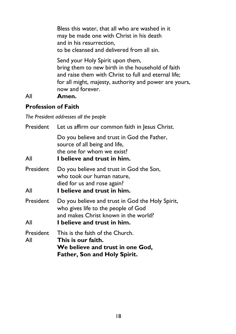Bless this water, that all who are washed in it may be made one with Christ in his death and in his resurrection, to be cleansed and delivered from all sin.

Send your Holy Spirit upon them, bring them to new birth in the household of faith and raise them with Christ to full and eternal life; for all might, majesty, authority and power are yours, now and forever.

#### All **Amen.**

#### **Profession of Faith**

*The President addresses all the people*

| President        | Let us affirm our common faith in Jesus Christ.                                                                                                                |
|------------------|----------------------------------------------------------------------------------------------------------------------------------------------------------------|
| All              | Do you believe and trust in God the Father,<br>source of all being and life,<br>the one for whom we exist?<br>I believe and trust in him.                      |
| President<br>All | Do you believe and trust in God the Son,<br>who took our human nature,<br>died for us and rose again?<br>I believe and trust in him.                           |
| President<br>All | Do you believe and trust in God the Holy Spirit,<br>who gives life to the people of God<br>and makes Christ known in the world?<br>I believe and trust in him. |
| President<br>All | This is the faith of the Church.<br>This is our faith.<br>We believe and trust in one God,<br><b>Father, Son and Holy Spirit.</b>                              |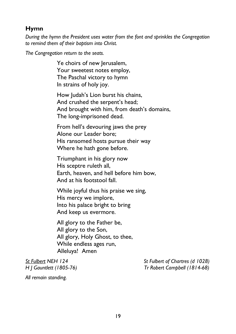### **Hymn**

*During the hymn the President uses water from the font and sprinkles the Congregation to remind them of their baptism into Christ.*

*The Congregation return to the seats.*

Ye choirs of new Jerusalem, Your sweetest notes employ, The Paschal victory to hymn In strains of holy joy.

How Judah's Lion burst his chains, And crushed the serpent's head; And brought with him, from death's domains, The long-imprisoned dead.

From hell's devouring jaws the prey Alone our Leader bore; His ransomed hosts pursue their way Where he hath gone before.

Triumphant in his glory now His sceptre ruleth all, Earth, heaven, and hell before him bow, And at his footstool fall.

While joyful thus his praise we sing, His mercy we implore, Into his palace bright to bring And keep us evermore.

All glory to the Father be, All glory to the Son, All glory, Holy Ghost, to thee, While endless ages run, Alleluya! Amen

*St Fulbert NEH 124 St Fulbert of Chartres (d 1028) H J Gauntlett (1805-76) Tr Robert Campbell (1814-68)*

*All remain standing.*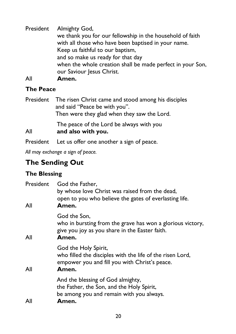President Almighty God, we thank you for our fellowship in the household of faith with all those who have been baptised in your name. Keep us faithful to our baptism, and so make us ready for that day when the whole creation shall be made perfect in your Son, our Saviour Jesus Christ. All **Amen.**

#### **The Peace**

President The risen Christ came and stood among his disciples and said "Peace be with you". Then were they glad when they saw the Lord.

The peace of the Lord be always with you All **and also with you.**

President Let us offer one another a sign of peace.

*All may exchange a sign of peace.*

# **The Sending Out**

### **The Blessing**

| President<br>All | God the Father,<br>by whose love Christ was raised from the dead,<br>open to you who believe the gates of everlasting life.<br>Amen.        |
|------------------|---------------------------------------------------------------------------------------------------------------------------------------------|
| All              | God the Son,<br>who in bursting from the grave has won a glorious victory,<br>give you joy as you share in the Easter faith.<br>Amen.       |
| All              | God the Holy Spirit,<br>who filled the disciples with the life of the risen Lord,<br>empower you and fill you with Christ's peace.<br>Amen. |
| All              | And the blessing of God almighty,<br>the Father, the Son, and the Holy Spirit,<br>be among you and remain with you always.<br>Amen.         |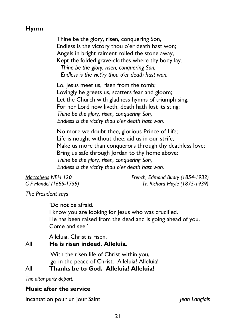### **Hymn**

Thine be the glory, risen, conquering Son, Endless is the victory thou o'er death hast won; Angels in bright raiment rolled the stone away, Kept the folded grave-clothes where thy body lay.  *Thine be the glory, risen, conquering Son, Endless is the vict'ry thou o'er death hast won.*

Lo, Jesus meet us, risen from the tomb: Lovingly he greets us, scatters fear and gloom; Let the Church with gladness hymns of triumph sing, For her Lord now liveth, death hath lost its sting: *Thine be the glory, risen, conquering Son, Endless is the vict'ry thou o'er death hast won.*

No more we doubt thee, glorious Prince of Life; Life is nought without thee: aid us in our strife, Make us more than conquerors through thy deathless love; Bring us safe through Jordan to thy home above: *Thine be the glory, risen, conquering Son, Endless is the vict'ry thou o'er death hast won.*

*Maccabeus NEH 120 French, Edmond Budry (1854-1932) G F Handel (1685-1759) Tr. Richard Hoyle (1875-1939)*

*The President says*

*'*Do not be afraid. I know you are looking for Jesus who was crucified. He has been raised from the dead and is going ahead of you. Come and see.'

Alleluia. Christ is risen.

#### All **He is risen indeed. Alleluia.**

With the risen life of Christ within you, go in the peace of Christ. Alleluia! Alleluia!

#### All **Thanks be to God. Alleluia! Alleluia!**

*The altar party depart.*

#### **Music after the service**

Incantation pour un jour Saint *Jean Langlais*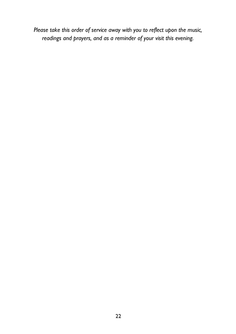*Please take this order of service away with you to reflect upon the music, readings and prayers, and as a reminder of your visit this evening.*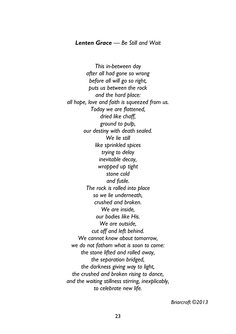#### *Lenten Grace — Be Still and Wait*

*This in-between day after all had gone so wrong before all will go so right, puts us between the rock and the hard place: all hope, love and faith is squeezed from us. Today we are flattened, dried like chaff, ground to pulp, our destiny with death sealed. We lie still like sprinkled spices trying to delay inevitable decay, wrapped up tight stone cold and futile. The rock is rolled into place so we lie underneath, crushed and broken. We are inside, our bodies like His. We are outside, cut off and left behind. We cannot know about tomorrow, we do not fathom what is soon to come: the stone lifted and rolled away, the separation bridged, the darkness giving way to light, the crushed and broken rising to dance, and the waiting stillness stirring, inexplicably, to celebrate new life.* 

 *Briarcroft ©2013*